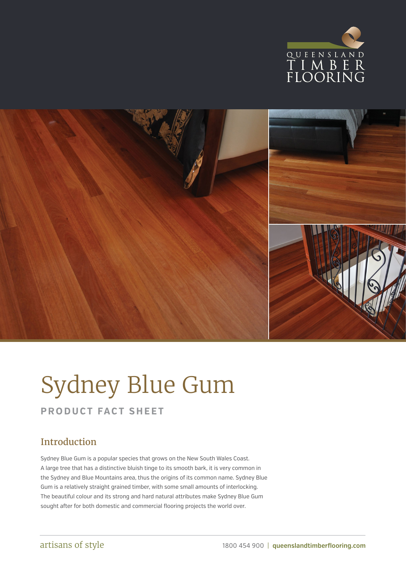



# Sydney Blue Gum

### **PRODUCT FACT SHEET**

## Introduction

Sydney Blue Gum is a popular species that grows on the New South Wales Coast. A large tree that has a distinctive bluish tinge to its smooth bark, it is very common in the Sydney and Blue Mountains area, thus the origins of its common name. Sydney Blue Gum is a relatively straight grained timber, with some small amounts of interlocking. The beautiful colour and its strong and hard natural attributes make Sydney Blue Gum sought after for both domestic and commercial flooring projects the world over.